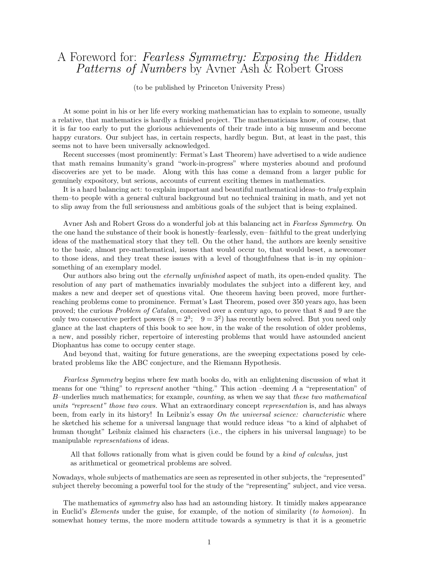## A Foreword for: Fearless Symmetry: Exposing the Hidden Patterns of Numbers by Avner Ash & Robert Gross

(to be published by Princeton University Press)

At some point in his or her life every working mathematician has to explain to someone, usually a relative, that mathematics is hardly a finished project. The mathematicians know, of course, that it is far too early to put the glorious achievements of their trade into a big museum and become happy curators. Our subject has, in certain respects, hardly begun. But, at least in the past, this seems not to have been universally acknowledged.

Recent successes (most prominently: Fermat's Last Theorem) have advertised to a wide audience that math remains humanity's grand "work-in-progress" where mysteries abound and profound discoveries are yet to be made. Along with this has come a demand from a larger public for genuinely expository, but serious, accounts of current exciting themes in mathematics.

It is a hard balancing act: to explain important and beautiful mathematical ideas–to truly explain them–to people with a general cultural background but no technical training in math, and yet not to slip away from the full seriousness and ambitious goals of the subject that is being explained.

Avner Ash and Robert Gross do a wonderful job at this balancing act in Fearless Symmetry. On the one hand the substance of their book is honestly–fearlessly, even– faithful to the great underlying ideas of the mathematical story that they tell. On the other hand, the authors are keenly sensitive to the basic, almost pre-mathematical, issues that would occur to, that would beset, a newcomer to those ideas, and they treat these issues with a level of thoughtfulness that is–in my opinion– something of an exemplary model.

Our authors also bring out the eternally unfinished aspect of math, its open-ended quality. The resolution of any part of mathematics invariably modulates the subject into a different key, and makes a new and deeper set of questions vital. One theorem having been proved, more furtherreaching problems come to prominence. Fermat's Last Theorem, posed over 350 years ago, has been proved; the curious Problem of Catalan, conceived over a century ago, to prove that 8 and 9 are the only two consecutive perfect powers  $(8 = 2^3; 9 = 3^2)$  has recently been solved. But you need only glance at the last chapters of this book to see how, in the wake of the resolution of older problems, a new, and possibly richer, repertoire of interesting problems that would have astounded ancient Diophantus has come to occupy center stage.

And beyond that, waiting for future generations, are the sweeping expectations posed by celebrated problems like the ABC conjecture, and the Riemann Hypothesis.

Fearless Symmetry begins where few math books do, with an enlightening discussion of what it means for one "thing" to represent another "thing." This action –deeming  $A$  a "representation" of  $B$ –underlies much mathematics; for example, *counting*, as when we say that these two mathematical units "represent" those two cows. What an extraordinary concept representation is, and has always been, from early in its history! In Leibniz's essay On the universal science: characteristic where he sketched his scheme for a universal language that would reduce ideas "to a kind of alphabet of human thought" Leibniz claimed his characters (i.e., the ciphers in his universal language) to be manipulable representations of ideas.

All that follows rationally from what is given could be found by a kind of calculus, just as arithmetical or geometrical problems are solved.

Nowadays, whole subjects of mathematics are seen as represented in other subjects, the "represented" subject thereby becoming a powerful tool for the study of the "representing" subject, and vice versa.

The mathematics of symmetry also has had an astounding history. It timidly makes appearance in Euclid's Elements under the guise, for example, of the notion of similarity (to homoion). In somewhat homey terms, the more modern attitude towards a symmetry is that it is a geometric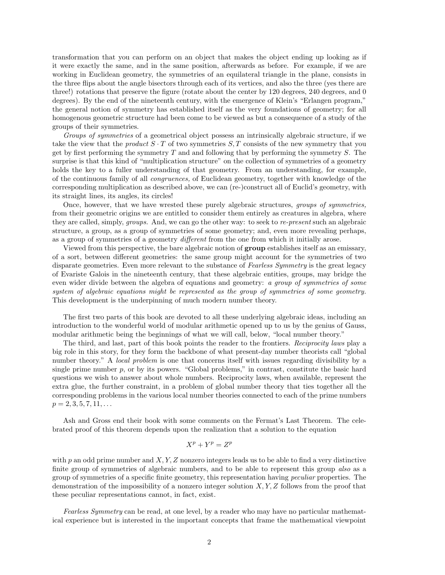transformation that you can perform on an object that makes the object ending up looking as if it were exactly the same, and in the same position, afterwards as before. For example, if we are working in Euclidean geometry, the symmetries of an equilateral triangle in the plane, consists in the three flips about the angle bisectors through each of its vertices, and also the three (yes there are three!) rotations that preserve the figure (rotate about the center by 120 degrees, 240 degrees, and 0 degrees). By the end of the nineteenth century, with the emergence of Klein's "Erlangen program," the general notion of symmetry has established itself as the very foundations of geometry; for all homogenous geometric structure had been come to be viewed as but a consequence of a study of the groups of their symmetries.

Groups of symmetries of a geometrical object possess an intrinsically algebraic structure, if we take the view that the *product*  $S \cdot T$  of two symmetries  $S, T$  consists of the new symmetry that you get by first performing the symmetry  $T$  and and following that by performing the symmetry  $S$ . The surprise is that this kind of "multiplication structure" on the collection of symmetries of a geometry holds the key to a fuller understanding of that geometry. From an understanding, for example, of the continuous family of all congruences, of Euclidean geometry, together with knowledge of the corresponding multiplication as described above, we can (re-)construct all of Euclid's geometry, with its straight lines, its angles, its circles!

Once, however, that we have wrested these purely algebraic structures, groups of symmetries, from their geometric origins we are entitled to consider them entirely as creatures in algebra, where they are called, simply, groups. And, we can go the other way: to seek to re-present such an algebraic structure, a group, as a group of symmetries of some geometry; and, even more revealing perhaps, as a group of symmetries of a geometry different from the one from which it initially arose.

Viewed from this perspective, the bare algebraic notion of group establishes itself as an emissary, of a sort, between different geometries: the same group might account for the symmetries of two disparate geometries. Even more relevant to the substance of Fearless Symmetry is the great legacy of Evariste Galois in the nineteenth century, that these algebraic entities, groups, may bridge the even wider divide between the algebra of equations and geometry: a group of symmetries of some system of algebraic equations might be represented as the group of symmetries of some geometry. This development is the underpinning of much modern number theory.

The first two parts of this book are devoted to all these underlying algebraic ideas, including an introduction to the wonderful world of modular arithmetic opened up to us by the genius of Gauss, modular arithmetic being the beginnings of what we will call, below, "local number theory."

The third, and last, part of this book points the reader to the frontiers. Reciprocity laws play a big role in this story, for they form the backbone of what present-day number theorists call "global number theory." A *local problem* is one that concerns itself with issues regarding divisibility by a single prime number  $p$ , or by its powers. "Global problems," in contrast, constitute the basic hard questions we wish to answer about whole numbers. Reciprocity laws, when available, represent the extra glue, the further constraint, in a problem of global number theory that ties together all the corresponding problems in the various local number theories connected to each of the prime numbers  $p = 2, 3, 5, 7, 11, \ldots$ 

Ash and Gross end their book with some comments on the Fermat's Last Theorem. The celebrated proof of this theorem depends upon the realization that a solution to the equation

## $X^p+Y^p=Z^p$

with p an odd prime number and  $X, Y, Z$  nonzero integers leads us to be able to find a very distinctive finite group of symmetries of algebraic numbers, and to be able to represent this group also as a group of symmetries of a specific finite geometry, this representation having peculiar properties. The demonstration of the impossibility of a nonzero integer solution  $X, Y, Z$  follows from the proof that these peculiar representations cannot, in fact, exist.

Fearless Symmetry can be read, at one level, by a reader who may have no particular mathematical experience but is interested in the important concepts that frame the mathematical viewpoint